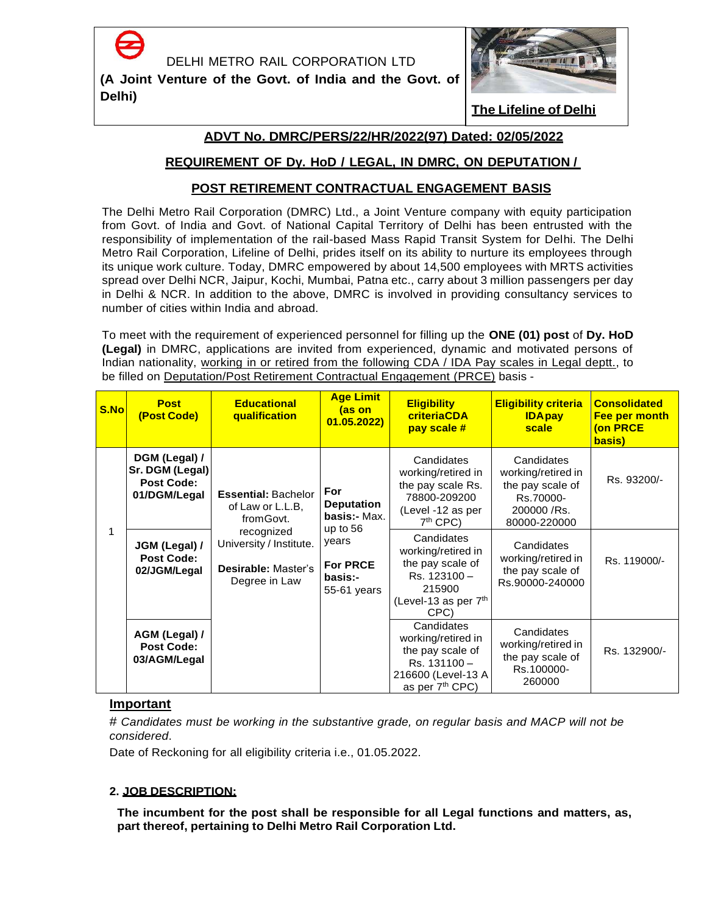

**(A Joint Venture of the Govt. of India and the Govt. of Delhi)**



**The Lifeline of Delhi**

# **ADVT No. DMRC/PERS/22/HR/2022(97) Dated: 02/05/2022**

# **REQUIREMENT OF Dy. HoD / LEGAL, IN DMRC, ON DEPUTATION /**

# **POST RETIREMENT CONTRACTUAL ENGAGEMENT BASIS**

The Delhi Metro Rail Corporation (DMRC) Ltd., a Joint Venture company with equity participation from Govt. of India and Govt. of National Capital Territory of Delhi has been entrusted with the responsibility of implementation of the rail-based Mass Rapid Transit System for Delhi. The Delhi Metro Rail Corporation, Lifeline of Delhi, prides itself on its ability to nurture its employees through its unique work culture. Today, DMRC empowered by about 14,500 employees with MRTS activities spread over Delhi NCR, Jaipur, Kochi, Mumbai, Patna etc., carry about 3 million passengers per day in Delhi & NCR. In addition to the above, DMRC is involved in providing consultancy services to number of cities within India and abroad.

To meet with the requirement of experienced personnel for filling up the **ONE (01) post** of **Dy. HoD (Legal)** in DMRC, applications are invited from experienced, dynamic and motivated persons of Indian nationality, working in or retired from the following CDA / IDA Pay scales in Legal deptt., to be filled on Deputation/Post Retirement Contractual Engagement (PRCE) basis -

| S.No | <b>Post</b><br>(Post Code)                                            | <b>Educational</b><br>qualification                                           | <b>Age Limit</b><br>(as on<br>01.05.2022                                                                     | <b>Eligibility</b><br>criteriaCDA<br>pay scale #                                                                         | <b>Eligibility criteria</b><br><b>IDApay</b><br>scale                                            | <b>Consolidated</b><br>Fee per month<br>(on PRCE<br>basis) |
|------|-----------------------------------------------------------------------|-------------------------------------------------------------------------------|--------------------------------------------------------------------------------------------------------------|--------------------------------------------------------------------------------------------------------------------------|--------------------------------------------------------------------------------------------------|------------------------------------------------------------|
|      | DGM (Legal) /<br>Sr. DGM (Legal)<br><b>Post Code:</b><br>01/DGM/Legal | <b>Essential: Bachelor</b><br>of Law or L.L.B,<br>from Govt.                  | For<br><b>Deputation</b><br>basis:- Max.<br>up to $56$<br>years<br><b>For PRCE</b><br>basis:-<br>55-61 years | Candidates<br>working/retired in<br>the pay scale Rs.<br>78800-209200<br>(Level -12 as per<br>$7th$ CPC)                 | Candidates<br>working/retired in<br>the pay scale of<br>Rs.70000-<br>200000 /Rs.<br>80000-220000 | Rs. 93200/-                                                |
|      | JGM (Legal) /<br><b>Post Code:</b><br>02/JGM/Legal                    | recognized<br>University / Institute.<br>Desirable: Master's<br>Degree in Law |                                                                                                              | Candidates<br>working/retired in<br>the pay scale of<br>Rs. 123100 -<br>215900<br>(Level-13 as per $7th$<br>CPC)         | Candidates<br>working/retired in<br>the pay scale of<br>Rs.90000-240000                          | Rs. 119000/-                                               |
|      | AGM (Legal) /<br><b>Post Code:</b><br>03/AGM/Legal                    |                                                                               |                                                                                                              | Candidates<br>working/retired in<br>the pay scale of<br>Rs. 131100-<br>216600 (Level-13 A<br>as per 7 <sup>th</sup> CPC) | Candidates<br>working/retired in<br>the pay scale of<br>Rs.100000-<br>260000                     | Rs. 132900/-                                               |

## **Important**

# *Candidates must be working in the substantive grade, on regular basis and MACP will not be considered*.

Date of Reckoning for all eligibility criteria i.e., 01.05.2022.

## **2. JOB DESCRIPTION:**

**The incumbent for the post shall be responsible for all Legal functions and matters, as, part thereof, pertaining to Delhi Metro Rail Corporation Ltd.**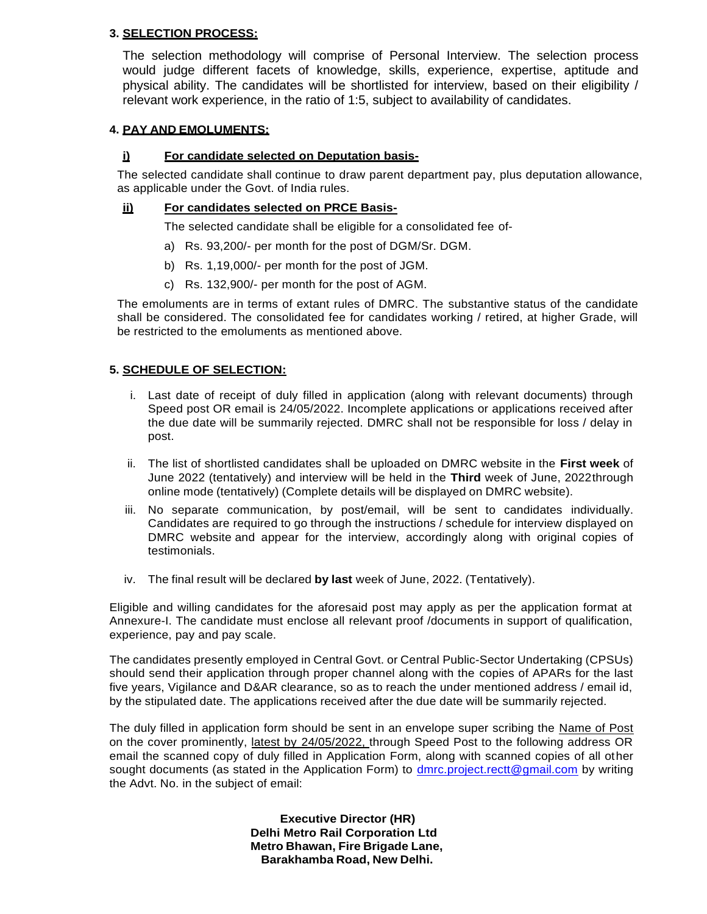#### **3. SELECTION PROCESS:**

The selection methodology will comprise of Personal Interview. The selection process would judge different facets of knowledge, skills, experience, expertise, aptitude and physical ability. The candidates will be shortlisted for interview, based on their eligibility / relevant work experience, in the ratio of 1:5, subject to availability of candidates.

#### **4. PAY AND EMOLUMENTS:**

## **i) For candidate selected on Deputation basis-**

The selected candidate shall continue to draw parent department pay, plus deputation allowance, as applicable under the Govt. of India rules.

#### **ii) For candidates selected on PRCE Basis-**

The selected candidate shall be eligible for a consolidated fee of-

- a) Rs. 93,200/- per month for the post of DGM/Sr. DGM.
- b) Rs. 1,19,000/- per month for the post of JGM.
- c) Rs. 132,900/- per month for the post of AGM.

The emoluments are in terms of extant rules of DMRC. The substantive status of the candidate shall be considered. The consolidated fee for candidates working / retired, at higher Grade, will be restricted to the emoluments as mentioned above.

#### **5. SCHEDULE OF SELECTION:**

- i. Last date of receipt of duly filled in application (along with relevant documents) through Speed post OR email is 24/05/2022. Incomplete applications or applications received after the due date will be summarily rejected. DMRC shall not be responsible for loss / delay in post.
- ii. The list of shortlisted candidates shall be uploaded on DMRC website in the **First week** of June 2022 (tentatively) and interview will be held in the **Third** week of June, 2022through online mode (tentatively) (Complete details will be displayed on DMRC website).
- iii. No separate communication, by post/email, will be sent to candidates individually. Candidates are required to go through the instructions / schedule for interview displayed on DMRC website and appear for the interview, accordingly along with original copies of testimonials.
- iv. The final result will be declared **by last** week of June, 2022. (Tentatively).

Eligible and willing candidates for the aforesaid post may apply as per the application format at Annexure-I. The candidate must enclose all relevant proof /documents in support of qualification, experience, pay and pay scale.

The candidates presently employed in Central Govt. or Central Public-Sector Undertaking (CPSUs) should send their application through proper channel along with the copies of APARs for the last five years, Vigilance and D&AR clearance, so as to reach the under mentioned address / email id, by the stipulated date. The applications received after the due date will be summarily rejected.

The duly filled in application form should be sent in an envelope super scribing the Name of Post on the cover prominently, latest by 24/05/2022, through Speed Post to the following address OR email the scanned copy of duly filled in Application Form, along with scanned copies of all other sought documents (as stated in the Application Form) to [dmrc.project.rectt@gmail.com](mailto:dmrc.project.rectt@gmail.com) by writing the Advt. No. in the subject of email:

> **Executive Director (HR) Delhi Metro Rail Corporation Ltd Metro Bhawan, Fire Brigade Lane, Barakhamba Road, New Delhi.**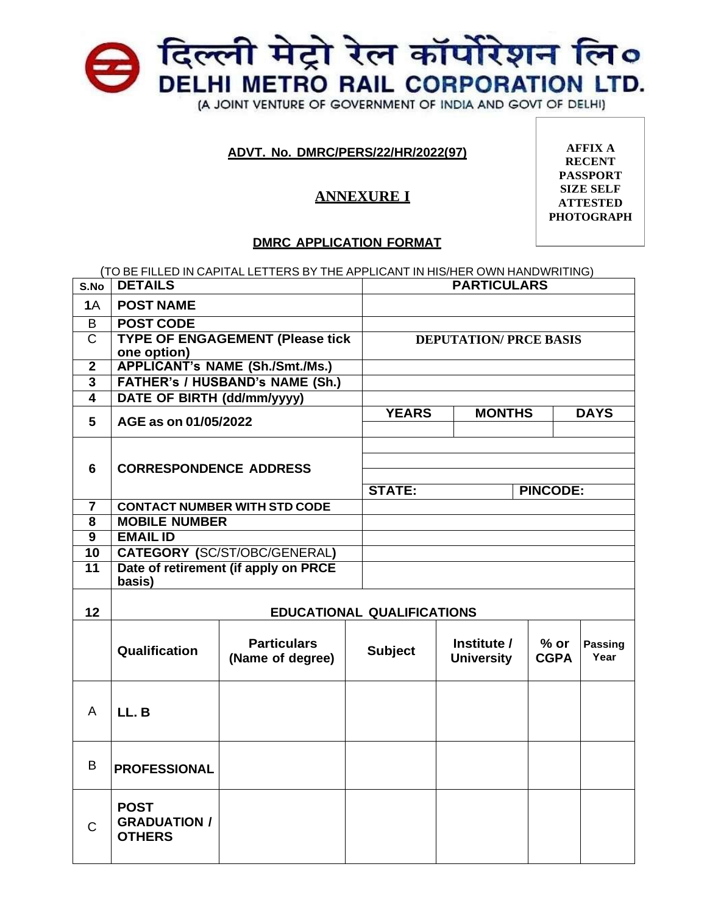

# **ADVT. No. DMRC/PERS/22/HR/2022(97)**

# **ANNEXURE I**

**AFFIX A RECENT PASSPORT SIZE SELF ATTESTED PHOTOGRAPH**

## **DMRC APPLICATION FORMAT**

|                | (TO BE FILLED IN CAPITAL LETTERS BY THE APPLICANT IN HIS/HER OWN HANDWRITING) |                                   |  |                 |             |
|----------------|-------------------------------------------------------------------------------|-----------------------------------|--|-----------------|-------------|
| S.No           | <b>DETAILS</b>                                                                | <b>PARTICULARS</b>                |  |                 |             |
| <b>1A</b>      | <b>POST NAME</b>                                                              |                                   |  |                 |             |
| B              | <b>POST CODE</b>                                                              |                                   |  |                 |             |
| С              | <b>TYPE OF ENGAGEMENT (Please tick</b>                                        | <b>DEPUTATION/ PRCE BASIS</b>     |  |                 |             |
|                | one option)                                                                   |                                   |  |                 |             |
| $\mathbf{2}$   | <b>APPLICANT's NAME (Sh./Smt./Ms.)</b>                                        |                                   |  |                 |             |
| 3              | <b>FATHER's / HUSBAND's NAME (Sh.)</b>                                        |                                   |  |                 |             |
| 4              | DATE OF BIRTH (dd/mm/yyyy)                                                    |                                   |  |                 |             |
| 5              | AGE as on 01/05/2022                                                          | <b>MONTHS</b><br><b>YEARS</b>     |  |                 | <b>DAYS</b> |
|                |                                                                               |                                   |  |                 |             |
|                |                                                                               |                                   |  |                 |             |
| 6              | <b>CORRESPONDENCE ADDRESS</b>                                                 |                                   |  |                 |             |
|                |                                                                               |                                   |  |                 |             |
|                |                                                                               | <b>STATE:</b>                     |  | <b>PINCODE:</b> |             |
| $\overline{7}$ | <b>CONTACT NUMBER WITH STD CODE</b>                                           |                                   |  |                 |             |
| 8              | <b>MOBILE NUMBER</b>                                                          |                                   |  |                 |             |
| 9              | <b>EMAIL ID</b>                                                               |                                   |  |                 |             |
| 10             | <b>CATEGORY (SC/ST/OBC/GENERAL)</b>                                           |                                   |  |                 |             |
| 11             | Date of retirement (if apply on PRCE                                          |                                   |  |                 |             |
|                | basis)                                                                        |                                   |  |                 |             |
|                |                                                                               |                                   |  |                 |             |
| 12             |                                                                               | <b>EDUCATIONAL QUALIFICATIONS</b> |  |                 |             |
|                |                                                                               |                                   |  |                 |             |

|              | Qualification                                       | <b>Particulars</b><br>(Name of degree) | <b>Subject</b> | Institute /<br><b>University</b> | $%$ or<br><b>CGPA</b> | <b>Passing</b><br>Year |
|--------------|-----------------------------------------------------|----------------------------------------|----------------|----------------------------------|-----------------------|------------------------|
| A            | LL.B                                                |                                        |                |                                  |                       |                        |
| B            | <b>PROFESSIONAL</b>                                 |                                        |                |                                  |                       |                        |
| $\mathsf{C}$ | <b>POST</b><br><b>GRADUATION /</b><br><b>OTHERS</b> |                                        |                |                                  |                       |                        |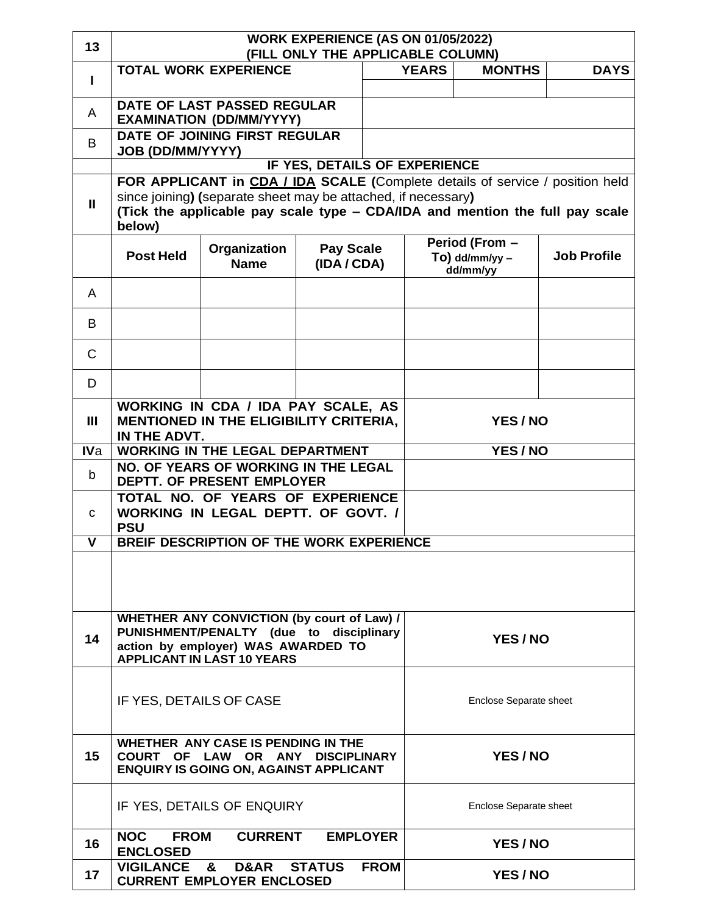| 13             | WORK EXPERIENCE (AS ON 01/05/2022)<br>(FILL ONLY THE APPLICABLE COLUMN)                                                                                                                                                                  |  |                                                |               |                        |             |  |
|----------------|------------------------------------------------------------------------------------------------------------------------------------------------------------------------------------------------------------------------------------------|--|------------------------------------------------|---------------|------------------------|-------------|--|
| I.             | <b>TOTAL WORK EXPERIENCE</b>                                                                                                                                                                                                             |  |                                                | <b>YEARS</b>  | <b>MONTHS</b>          | <b>DAYS</b> |  |
| A              | DATE OF LAST PASSED REGULAR<br><b>EXAMINATION (DD/MM/YYYY)</b>                                                                                                                                                                           |  |                                                |               |                        |             |  |
| B              | DATE OF JOINING FIRST REGULAR                                                                                                                                                                                                            |  |                                                |               |                        |             |  |
|                | <b>JOB (DD/MM/YYYY)</b>                                                                                                                                                                                                                  |  | <b>IF YES, DETAILS OF EXPERIENCE</b>           |               |                        |             |  |
| $\mathbf{II}$  | FOR APPLICANT in CDA / IDA SCALE (Complete details of service / position held<br>since joining) (separate sheet may be attached, if necessary)<br>(Tick the applicable pay scale type - CDA/IDA and mention the full pay scale<br>below) |  |                                                |               |                        |             |  |
|                | Pay Scale<br>Organization<br><b>Post Held</b><br>(IDA / CDA)<br><b>Name</b>                                                                                                                                                              |  | Period (From -<br>$To)$ dd/mm/yy -<br>dd/mm/yy |               | <b>Job Profile</b>     |             |  |
| A              |                                                                                                                                                                                                                                          |  |                                                |               |                        |             |  |
| B              |                                                                                                                                                                                                                                          |  |                                                |               |                        |             |  |
| $\mathsf{C}$   |                                                                                                                                                                                                                                          |  |                                                |               |                        |             |  |
| D              |                                                                                                                                                                                                                                          |  |                                                |               |                        |             |  |
| $\mathbf{III}$ | WORKING IN CDA / IDA PAY SCALE, AS<br>MENTIONED IN THE ELIGIBILITY CRITERIA,<br>IN THE ADVT.                                                                                                                                             |  |                                                |               | YES/NO                 |             |  |
| <b>IVa</b>     | <b>WORKING IN THE LEGAL DEPARTMENT</b>                                                                                                                                                                                                   |  |                                                | <b>YES/NO</b> |                        |             |  |
| b              | NO. OF YEARS OF WORKING IN THE LEGAL<br>DEPTT. OF PRESENT EMPLOYER                                                                                                                                                                       |  |                                                |               |                        |             |  |
| C              | TOTAL NO. OF YEARS OF EXPERIENCE<br>WORKING IN LEGAL DEPTT. OF GOVT. /<br><b>PSU</b>                                                                                                                                                     |  |                                                |               |                        |             |  |
| $\mathbf{V}$   | BREIF DESCRIPTION OF THE WORK EXPERIENCE                                                                                                                                                                                                 |  |                                                |               |                        |             |  |
|                |                                                                                                                                                                                                                                          |  |                                                |               |                        |             |  |
| 14             | WHETHER ANY CONVICTION (by court of Law) /<br>PUNISHMENT/PENALTY (due to disciplinary<br>YES/NO<br>action by employer) WAS AWARDED TO<br><b>APPLICANT IN LAST 10 YEARS</b>                                                               |  |                                                |               |                        |             |  |
|                | IF YES, DETAILS OF CASE                                                                                                                                                                                                                  |  |                                                |               | Enclose Separate sheet |             |  |
| 15             | WHETHER ANY CASE IS PENDING IN THE<br>YES/NO<br>COURT OF LAW OR ANY DISCIPLINARY<br><b>ENQUIRY IS GOING ON, AGAINST APPLICANT</b>                                                                                                        |  |                                                |               |                        |             |  |
|                | IF YES, DETAILS OF ENQUIRY<br>Enclose Separate sheet                                                                                                                                                                                     |  |                                                |               |                        |             |  |
| 16             | <b>CURRENT</b><br>NOC FROM<br><b>EMPLOYER</b><br><b>ENCLOSED</b>                                                                                                                                                                         |  |                                                |               | YES/NO                 |             |  |
| 17             | VIGILANCE & D&AR STATUS<br><b>FROM</b><br><b>CURRENT EMPLOYER ENCLOSED</b>                                                                                                                                                               |  |                                                |               | YES/NO                 |             |  |